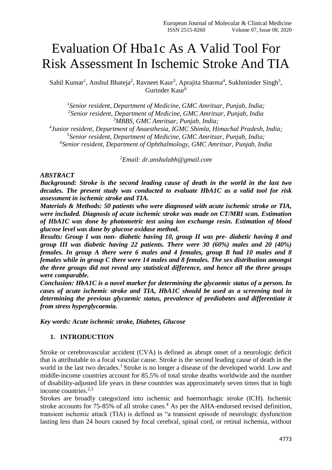# Evaluation Of Hba1c As A Valid Tool For Risk Assessment In Ischemic Stroke And TIA

Sahil Kumar<sup>1</sup>, Anshul Bhateja<sup>2</sup>, Ravneet Kaur<sup>3</sup>, Aprajita Sharma<sup>4</sup>, Sukhminder Singh<sup>5</sup>, Gurinder Kaur<sup>6</sup>

 *Senior resident, Department of Medicine, GMC Amritsar, Punjab, India; Senior resident, Department of Medicine, GMC Amritsar, Punjab, India MBBS, GMC Amritsar, Punjab, India; Junior resident, Department of Anaesthesia, IGMC Shimla, Himachal Pradesh, India; Senior resident, Department of Medicine, GMC Amritsar, Punjab, India;*

*6 Senior resident, Department of Ophthalmology, GMC Amritsar, Punjab, India*

*<sup>2</sup>Email: dr.anshulabh@gmail.com*

### *ABSTRACT*

*Background: Stroke is the second leading cause of death in the world in the last two decades. The present study was conducted to evaluate HbA1C as a valid tool for risk assessment in ischemic stroke and TIA.*

*Materials & Methods: 50 patients who were diagnosed with acute ischemic stroke or TIA, were included. Diagnosis of acute ischemic stroke was made on CT/MRI scan. Estimation of HbA1C was done by photometric test using ion exchange resin. Estimation of blood glucose level was done by glucose oxidase method.* 

*Results: Group I was non- diabetic having 10, group II was pre- diabetic having 8 and group III was diabetic having 22 patients. There were 30 (60%) males and 20 (40%) females. In group A there were 6 males and 4 females, group B had 10 males and 8 females while in group C there were 14 males and 8 females. The sex distribution amongst the three groups did not reveal any statistical difference, and hence all the three groups were comparable.* 

*Conclusion: HbA1C is a novel marker for determining the glycaemic status of a person. In cases of acute ischemic stroke and TIA, HbA1C should be used as a screening tool in determining the previous glycaemic status, prevalence of prediabetes and differentiate it from stress hyperglycaemia.*

*Key words: Acute ischemic stroke, Diabetes, Glucose*

## **1. INTRODUCTION**

Stroke or cerebrovascular accident (CVA) is defined as abrupt onset of a neurologic deficit that is attributable to a focal vascular cause. Stroke is the second leading cause of death in the world in the last two decades.<sup>1</sup> Stroke is no longer a disease of the developed world. Low and middle-income countries account for 85.5% of total stroke deaths worldwide and the number of disability-adjusted life years in these countries was approximately seven times that in high income countries. $2,3$ 

Strokes are broadly categorized into ischemic and haemorrhagic stroke (ICH). Ischemic stroke accounts for  $75-85\%$  of all stroke cases.<sup>4</sup> As per the AHA-endorsed revised definition, transient ischemic attack (TIA) is defined as "a transient episode of neurologic dysfunction lasting less than 24 hours caused by focal cerebral, spinal cord, or retinal ischemia, without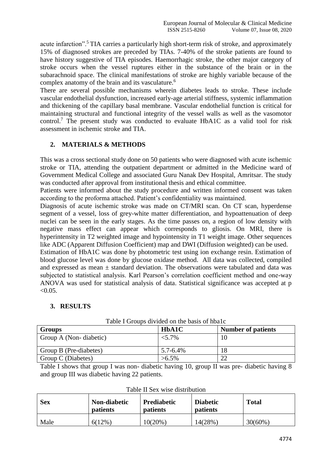acute infarction".<sup>5</sup> TIA carries a particularly high short-term risk of stroke, and approximately 15% of diagnosed strokes are preceded by TIAs. 7-40% of the stroke patients are found to have history suggestive of TIA episodes. Haemorrhagic stroke, the other major category of stroke occurs when the vessel ruptures either in the substance of the brain or in the subarachnoid space. The clinical manifestations of stroke are highly variable because of the complex anatomy of the brain and its vasculature.<sup>6</sup>

There are several possible mechanisms wherein diabetes leads to stroke. These include vascular endothelial dysfunction, increased early-age arterial stiffness, systemic inflammation and thickening of the capillary basal membrane. Vascular endothelial function is critical for maintaining structural and functional integrity of the vessel walls as well as the vasomotor control.<sup>7</sup> The present study was conducted to evaluate HbA1C as a valid tool for risk assessment in ischemic stroke and TIA.

## **2. MATERIALS & METHODS**

This was a cross sectional study done on 50 patients who were diagnosed with acute ischemic stroke or TIA, attending the outpatient department or admitted in the Medicine ward of Government Medical College and associated Guru Nanak Dev Hospital, Amritsar. The study was conducted after approval from institutional thesis and ethical committee.

Patients were informed about the study procedure and written informed consent was taken according to the proforma attached. Patient's confidentiality was maintained.

Diagnosis of acute ischemic stroke was made on CT/MRI scan. On CT scan, hyperdense segment of a vessel, loss of grey-white matter differentiation, and hypoattenuation of deep nuclei can be seen in the early stages. As the time passes on, a region of low density with negative mass effect can appear which corresponds to gliosis. On MRI, there is hyperintensity in T2 weighted image and hypointensity in T1 weight image. Other sequences like ADC (Apparent Diffusion Coefficient) map and DWI (Diffusion weighted) can be used.

Estimation of HbA1C was done by photometric test using ion exchange resin. Estimation of blood glucose level was done by glucose oxidase method. All data was collected, compiled and expressed as mean  $\pm$  standard deviation. The observations were tabulated and data was subjected to statistical analysis. Karl Pearson's correlation coefficient method and one-way ANOVA was used for statistical analysis of data. Statistical significance was accepted at p  $< 0.05$ .

### **3. RESULTS**

| <b>Groups</b>          | <b>HbA1C</b>  | <b>Number of patients</b> |
|------------------------|---------------|---------------------------|
| Group A (Non-diabetic) | $< 5.7\%$     | 10                        |
| Group B (Pre-diabetes) | $5.7 - 6.4\%$ | 18                        |
| Group C (Diabetes)     | $>6.5\%$      |                           |

Table I Groups divided on the basis of hba1c

Table I shows that group I was non- diabetic having 10, group II was pre- diabetic having 8 and group III was diabetic having 22 patients.

| <b>Sex</b> | Non-diabetic<br><b>patients</b> | Prediabetic<br><b>patients</b> | <b>Diabetic</b><br><b>patients</b> | <b>Total</b> |
|------------|---------------------------------|--------------------------------|------------------------------------|--------------|
| Male       | $6(12\%)$                       | $10(20\%)$                     | 14(28%)                            | $30(60\%)$   |

Table II Sex wise distribution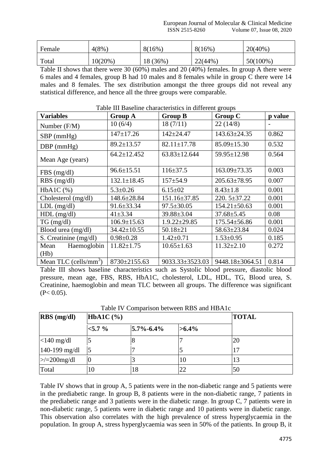| Female | 4(8%    | 8(16%)   | 8(16%)  | $20(40\%)$  |
|--------|---------|----------|---------|-------------|
| Total  | 10(20%) | 18 (36%) | 22(44%) | $50(100\%)$ |

Table II shows that there were 30 (60%) males and 20 (40%) females. In group A there were 6 males and 4 females, group B had 10 males and 8 females while in group C there were 14 males and 8 females. The sex distribution amongst the three groups did not reveal any statistical difference, and hence all the three groups were comparable.

| <b>Variables</b>                  | <b>Group A</b>    | <b>Group B</b>     | <b>Group C</b>     | p value |
|-----------------------------------|-------------------|--------------------|--------------------|---------|
| Number (F/M)                      | 10(6/4)           | 18(7/11)           | 22(14/8)           |         |
| $SBP$ (mmHg)                      | $147 \pm 17.26$   | $142 + 24.47$      | $143.63 \pm 24.35$ | 0.862   |
| $DBP$ (mmHg)                      | $89.2 \pm 13.57$  | $82.11 \pm 17.78$  | $85.09 \pm 15.30$  | 0.532   |
| Mean Age (years)                  | $64.2 \pm 12.452$ | $63.83 \pm 12.644$ | 59.95±12.98        | 0.564   |
| $FBS$ (mg/dl)                     | $96.6 \pm 15.51$  | $116 \pm 37.5$     | $163.09 \pm 73.35$ | 0.003   |
| $RBS$ (mg/dl)                     | $132.1 \pm 18.45$ | $157 + 54.9$       | $205.63 \pm 78.95$ | 0.007   |
| $HbA1C$ (%)                       | $5.3 \pm 0.26$    | $6.15 \pm 02$      | $8.43 \pm 1.8$     | 0.001   |
| Cholesterol (mg/dl)               | 148.6±28.84       | 151.16±37.85       | $220.5 \pm 37.22$  | 0.001   |
| $LDL$ (mg/dl)                     | $91.6 \pm 33.34$  | $97.5 \pm 30.05$   | $154.21 \pm 50.63$ | 0.001   |
| $HDL$ (mg/dl)                     | $41 \pm 3.34$     | $39.88 \pm 3.04$   | $37.68 \pm 5.45$   | 0.08    |
| $TG \, (mg/dl)$                   | $106.9 \pm 15.63$ | $1.9.22 \pm 29.85$ | $175.54 \pm 56.86$ | 0.001   |
| Blood urea (mg/dl)                | $34.42 \pm 10.55$ | $50.18 \pm 21$     | 58.63±23.84        | 0.024   |
| S. Creatinine (mg/dl)             | $0.98 \pm 0.28$   | $1.42 \pm 0.71$    | $1.53 \pm 0.95$    | 0.185   |
| Haemoglobin<br>Mean               | $11.82 \pm 1.75$  | $10.65 \pm 1.63$   | $11.32 \pm 2.10$   | 0.272   |
| (Hb)                              |                   |                    |                    |         |
| Mean TLC (cells/mm <sup>3</sup> ) | 8730±2155.63      | 9033.33±3523.03    | 9448.18±3064.51    | 0.814   |

#### Table III Baseline characteristics in different groups

Table III shows baseline characteristics such as Systolic blood pressure, diastolic blood pressure, mean age, FBS, RBS, HbA1C, cholesterol, LDL, HDL, TG, Blood urea, S. Creatinine, haemoglobin and mean TLC between all groups. The difference was significant  $(P< 0.05)$ .

| $RBS$ (mg/dl)     | $HbA1C$ $(\% )$ |                 |          | <b>TOTAL</b> |
|-------------------|-----------------|-----------------|----------|--------------|
|                   | $< 5.7 \%$      | $5.7\% - 6.4\%$ | $>6.4\%$ |              |
| $<$ 140 mg/dl     |                 |                 |          | 20           |
| $140 - 199$ mg/dl |                 |                 |          |              |
| $\ge$ /=200mg/dl  |                 |                 | 10       | 13           |
| Total             | 10              | 18              | 22       | 50           |

Table IV Comparison between RBS and HBA1c

Table IV shows that in group A, 5 patients were in the non-diabetic range and 5 patients were in the prediabetic range. In group B, 8 patients were in the non-diabetic range, 7 patients in the prediabetic range and 3 patients were in the diabetic range. In group C, 7 patients were in non-diabetic range, 5 patients were in diabetic range and 10 patients were in diabetic range. This observation also correlates with the high prevalence of stress hyperglycaemia in the population. In group A, stress hyperglycaemia was seen in 50% of the patients. In group B, it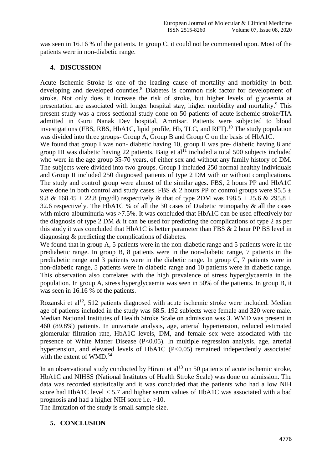was seen in 16.16 % of the patients. In group C, it could not be commented upon. Most of the patients were in non-diabetic range.

## **4. DISCUSSION**

Acute Ischemic Stroke is one of the leading cause of mortality and morbidity in both developing and developed counties.<sup>8</sup> Diabetes is common risk factor for development of stroke. Not only does it increase the risk of stroke, but higher levels of glycaemia at presentation are associated with longer hospital stay, higher morbidity and mortality.<sup>9</sup> This present study was a cross sectional study done on 50 patients of acute ischemic stroke/TIA admitted in Guru Nanak Dev hospital, Amritsar. Patients were subjected to blood investigations (FBS, RBS, HbA1C, lipid profile, Hb, TLC, and RFT).<sup>10</sup> The study population was divided into three groups- Group A, Group B and Group C on the basis of HbA1C.

We found that group I was non- diabetic having 10, group II was pre- diabetic having 8 and group III was diabetic having 22 patients. Baig et  $al<sup>11</sup>$  included a total 500 subjects included who were in the age group 35-70 years, of either sex and without any family history of DM. The subjects were divided into two groups. Group I included 250 normal healthy individuals and Group II included 250 diagnosed patients of type 2 DM with or without complications. The study and control group were almost of the similar ages. FBS, 2 hours PP and HbA1C were done in both control and study cases. FBS & 2 hours PP of control groups were  $95.5 \pm$ 9.8 & 168.45  $\pm$  22.8 (mg/dl) respectively & that of type 2DM was 198.5  $\pm$  25.6 & 295.8  $\pm$ 32.6 respectively. The HbA1C % of all the 30 cases of Diabetic retinopathy & all the cases with micro-albuminuria was >7.5%. It was concluded that HbA1C can be used effectively for the diagnosis of type 2 DM & it can be used for predicting the complications of type 2 as per this study it was concluded that HbA1C is better parameter than FBS & 2 hour PP BS level in diagnosing & predicting the complications of diabetes.

We found that in group A, 5 patients were in the non-diabetic range and 5 patients were in the prediabetic range. In group B, 8 patients were in the non-diabetic range, 7 patients in the prediabetic range and 3 patients were in the diabetic range. In group C, 7 patients were in non-diabetic range, 5 patients were in diabetic range and 10 patients were in diabetic range. This observation also correlates with the high prevalence of stress hyperglycaemia in the population. In group A, stress hyperglycaemia was seen in 50% of the patients. In group B, it was seen in 16.16 % of the patients.

Rozanski et al<sup>12</sup>, 512 patients diagnosed with acute ischemic stroke were included. Median age of patients included in the study was 68.5. 192 subjects were female and 320 were male. Median National Institutes of Health Stroke Scale on admission was 3. WMD was present in 460 (89.8%) patients. In univariate analysis, age, arterial hypertension, reduced estimated glomerular filtration rate, HbA1C levels, DM, and female sex were associated with the presence of White Matter Disease (P<0.05). In multiple regression analysis, age, arterial hypertension, and elevated levels of HbA1C (P<0.05) remained independently associated with the extent of WMD.<sup>54</sup>

In an observational study conducted by Hirani et  $al<sup>13</sup>$  on 50 patients of acute ischemic stroke, HbA1C and NIHSS (National Institutes of Health Stroke Scale) was done on admission. The data was recorded statistically and it was concluded that the patients who had a low NIH score had HbA1C level < 5.7 and higher serum values of HbA1C was associated with a bad prognosis and had a higher NIH score i.e. >10.

The limitation of the study is small sample size.

## **5. CONCLUSION**